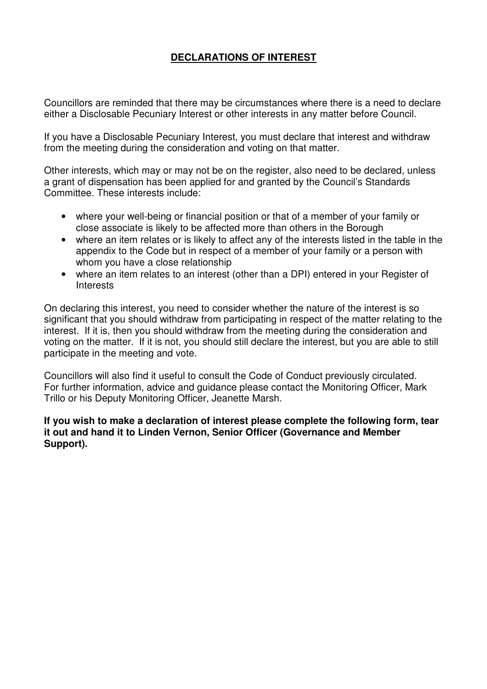## **DECLARATIONS OF INTEREST**

Councillors are reminded that there may be circumstances where there is a need to declare either a Disclosable Pecuniary Interest or other interests in any matter before Council.

If you have a Disclosable Pecuniary Interest, you must declare that interest and withdraw from the meeting during the consideration and voting on that matter.

Other interests, which may or may not be on the register, also need to be declared, unless a grant of dispensation has been applied for and granted by the Council's Standards Committee. These interests include:

- where your well-being or financial position or that of a member of your family or close associate is likely to be affected more than others in the Borough
- where an item relates or is likely to affect any of the interests listed in the table in the appendix to the Code but in respect of a member of your family or a person with whom you have a close relationship
- where an item relates to an interest (other than a DPI) entered in your Register of Interests

On declaring this interest, you need to consider whether the nature of the interest is so significant that you should withdraw from participating in respect of the matter relating to the interest. If it is, then you should withdraw from the meeting during the consideration and voting on the matter. If it is not, you should still declare the interest, but you are able to still participate in the meeting and vote.

Councillors will also find it useful to consult the Code of Conduct previously circulated. For further information, advice and guidance please contact the Monitoring Officer, Mark Trillo or his Deputy Monitoring Officer, Jeanette Marsh.

**If you wish to make a declaration of interest please complete the following form, tear it out and hand it to Linden Vernon, Senior Officer (Governance and Member Support).**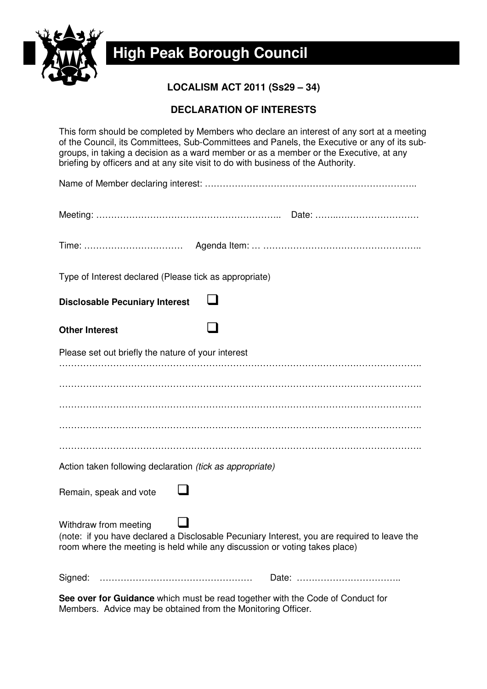

a **High Peak Borough Council** 

**LOCALISM ACT 2011 (Ss29 – 34)** 

## **DECLARATION OF INTERESTS**

This form should be completed by Members who declare an interest of any sort at a meeting of the Council, its Committees, Sub-Committees and Panels, the Executive or any of its subgroups, in taking a decision as a ward member or as a member or the Executive, at any briefing by officers and at any site visit to do with business of the Authority.

| Type of Interest declared (Please tick as appropriate)          |                                                                                                                                                                           |
|-----------------------------------------------------------------|---------------------------------------------------------------------------------------------------------------------------------------------------------------------------|
| <b>Disclosable Pecuniary Interest</b>                           |                                                                                                                                                                           |
| <b>Other Interest</b>                                           |                                                                                                                                                                           |
| Please set out briefly the nature of your interest              |                                                                                                                                                                           |
|                                                                 |                                                                                                                                                                           |
|                                                                 |                                                                                                                                                                           |
|                                                                 |                                                                                                                                                                           |
|                                                                 |                                                                                                                                                                           |
|                                                                 |                                                                                                                                                                           |
| Action taken following declaration <i>(tick as appropriate)</i> |                                                                                                                                                                           |
| Remain, speak and vote                                          |                                                                                                                                                                           |
| Withdraw from meeting                                           | (note: if you have declared a Disclosable Pecuniary Interest, you are required to leave the<br>room where the meeting is held while any discussion or voting takes place) |
| Signed:                                                         |                                                                                                                                                                           |

**See over for Guidance** which must be read together with the Code of Conduct for Members. Advice may be obtained from the Monitoring Officer.